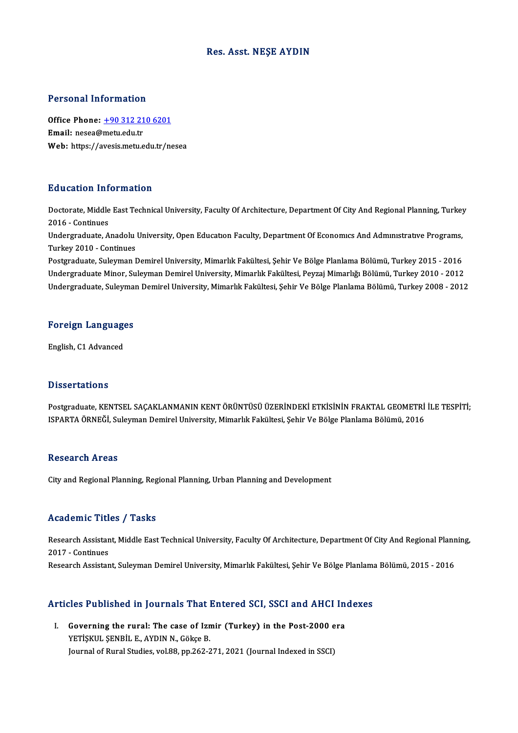### Res. Asst.NEŞE AYDIN

### Personal Information

Personal Information<br>Office Phone: <u>+90 312 210 6201</u><br>Email: nesse@metu.edu.tr office Phone: <u>+90 312 21</u><br>Email: nesea@metu.edu.tr<br>Web. https://avesis.metu.e Email: nesea@metu.edu.tr<br>Web: https://a[vesis.metu.edu.tr/n](tel:+90 312 210 6201)esea

### Education Information

**Education Information**<br>Doctorate, Middle East Technical University, Faculty Of Architecture, Department Of City And Regional Planning, Turkey<br>2016 - Continues 2016 -Continues<br>2016 - Continues<br>Undergraduate Doctorate, Middle East Technical University, Faculty Of Architecture, Department Of City And Regional Planning, Turkey<br>2016 - Continues<br>Undergraduate, Anadolu University, Open Education Faculty, Department Of Economics And

2016 - Continues<br>Undergraduate, Anadolu<br>Turkey 2010 - Continues<br>Postsraduate, Suleuman I Undergraduate, Anadolu University, Open Education Faculty, Department Of Economics And Administrative Programs,<br>Turkey 2010 - Continues<br>Postgraduate, Suleyman Demirel University, Mimarlık Fakültesi, Şehir Ve Bölge Planlama

Turkey 2010 - Continues<br>Postgraduate, Suleyman Demirel University, Mimarlık Fakültesi, Şehir Ve Bölge Planlama Bölümü, Turkey 2015 - 2016<br>Undergraduate Minor, Suleyman Demirel University, Mimarlık Fakültesi, Peyzaj Mimarlı Undergraduate, Suleyman Demirel University, Mimarlık Fakültesi, Şehir Ve Bölge Planlama Bölümü, Turkey 2008 - 2012

### <sub>ondergraduate, suleymal</sub><br>Foreign Languages <mark>Foreign Languag</mark><br>English, C1 Advanced

English, C1 Advanced<br>Dissertations

Dissertations<br>Postgraduate, KENTSEL SAÇAKLANMANIN KENT ÖRÜNTÜSÜ ÜZERİNDEKİ ETKİSİNİN FRAKTAL GEOMETRİ İLE TESPİTİ;<br>ISRARTA ÖRNEĞİ, Suleyman Domirel University Mimarlık Fekültesi, Sebir Ve Bölge Planlama Bölümü, 2016 B ISSOI CALISTIS<br>Postgraduate, KENTSEL SAÇAKLANMANIN KENT ÖRÜNTÜSÜ ÜZERİNDEKİ ETKİSİNİN FRAKTAL GEOMETRİ<br>ISPARTA ÖRNEĞİ, Suleyman Demirel University, Mimarlık Fakültesi, Şehir Ve Bölge Planlama Bölümü, 2016 ISPARTA ÖRNEĞİ, Suleyman Demirel University, Mimarlık Fakültesi, Şehir Ve Bölge Planlama Bölümü, 2016<br>Research Areas

City and Regional Planning, Regional Planning, Urban Planning and Development

### Academic Titles / Tasks

Academic Titles / Tasks<br>Research Assistant, Middle East Technical University, Faculty Of Architecture, Department Of City And Regional Planning,<br>2017 - Continues Execution Press<br>Research Assistan<br>2017 - Continues<br>Research Assistan 2017 - Continues<br>Research Assistant, Suleyman Demirel University, Mimarlık Fakültesi, Şehir Ve Bölge Planlama Bölümü, 2015 - 2016

# Research Assistant, Suleyman Demirel University, Mimariik Fakultesi, Şehir ve Bolge Planlama<br>Articles Published in Journals That Entered SCI, SSCI and AHCI Indexes

rticles Published in Journals That Entered SCI, SSCI and AHCI In<br>I. Governing the rural: The case of Izmir (Turkey) in the Post-2000 era<br>VETISVULSENPULE AVDIN N. Gâkse P SECT ADHONOM IN JOUTHAID THAT.<br>Governing the rural: The case of Izn<br>YETİŞKUL ŞENBİL E., AYDIN N., Gökçe B. Governing the rural: The case of Izmir (Turkey) in the Post-2000 e<br>YETİŞKUL ŞENBİL E., AYDIN N., Gökçe B.<br>Journal of Rural Studies, vol.88, pp.262-271, 2021 (Journal Indexed in SSCI)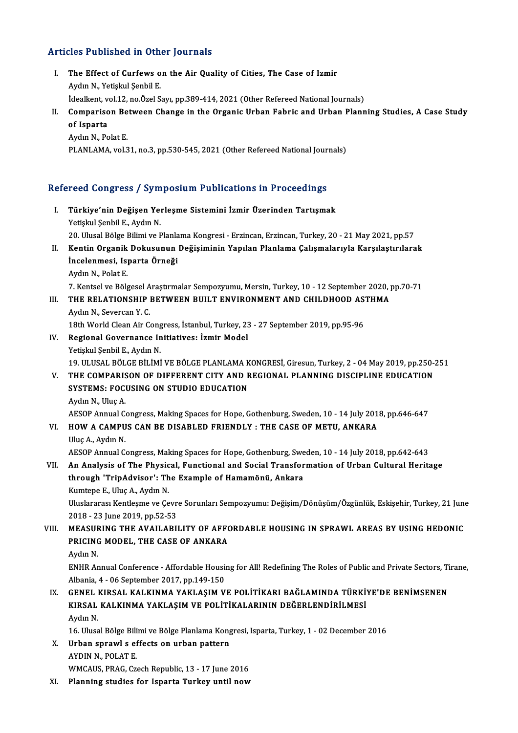### Articles Published in Other Journals

- rticles Published in Other Journals<br>I. The Effect of Curfews on the Air Quality of Cities, The Case of Izmir The Effect of Curfews of<br>Aydın N., Yetişkul Şenbil E.<br>İdealient val 12. ne Özel S The Effect of Curfews on the Air Quality of Cities, The Case of Izmir<br>Aydın N., Yetişkul Şenbil E.<br>İdealkent, vol.12, no.Özel Sayı, pp.389-414, 2021 (Other Refereed National Journals)<br>Comparison Between Change in the Organ Aydın N., Yetişkul Şenbil E.<br>İdealkent, vol.12, no.Özel Sayı, pp.389-414, 2021 (Other Refereed National Journals)<br>II. Comparison Between Change in the Organic Urban Fabric and Urban Planning Studies, A Case Study<br>of Ja
- *idealkent, v*<br>Compariso<br>of Isparta<br>Audu N. Po Comparison Be<br>of Isparta<br>Aydın N., Polat E.<br>PLANLAMA xol 3 of Isparta<br>Aydın N., Polat E.<br>PLANLAMA, vol.31, no.3, pp.530-545, 2021 (Other Refereed National Journals)

# PLANLAMA, VOL31, no.3, pp.530-545, 2021 (Other Refereed National Jour<br>Refereed Congress / Symposium Publications in Proceedings

| Refereed Congress / Symposium Publications in Proceedings |                                                                                                                                                                                 |
|-----------------------------------------------------------|---------------------------------------------------------------------------------------------------------------------------------------------------------------------------------|
| Ι.                                                        | Türkiye'nin Değişen Yerleşme Sistemini İzmir Üzerinden Tartışmak<br>Yetişkul Şenbil E, Aydın N.                                                                                 |
|                                                           | 20. Ulusal Bölge Bilimi ve Planlama Kongresi - Erzincan, Erzincan, Turkey, 20 - 21 May 2021, pp.57                                                                              |
| П.                                                        | Kentin Organik Dokusunun Değişiminin Yapılan Planlama Çalışmalarıyla Karşılaştırılarak                                                                                          |
|                                                           | İncelenmesi, Isparta Örneği                                                                                                                                                     |
|                                                           | Aydın N., Polat E.                                                                                                                                                              |
|                                                           | 7. Kentsel ve Bölgesel Araştırmalar Sempozyumu, Mersin, Turkey, 10 - 12 September 2020, pp.70-71                                                                                |
| III.                                                      | THE RELATIONSHIP BETWEEN BUILT ENVIRONMENT AND CHILDHOOD ASTHMA                                                                                                                 |
|                                                           | Aydın N., Severcan Y. C.                                                                                                                                                        |
|                                                           | 18th World Clean Air Congress, İstanbul, Turkey, 23 - 27 September 2019, pp.95-96                                                                                               |
| IV.                                                       | Regional Governance Initiatives: İzmir Model                                                                                                                                    |
|                                                           | Yetişkul Şenbil E, Aydın N.                                                                                                                                                     |
| V.                                                        | 19. ULUSAL BÖLGE BİLİMİ VE BÖLGE PLANLAMA KONGRESİ, Giresun, Turkey, 2 - 04 May 2019, pp.250-251<br>THE COMPARISON OF DIFFERENT CITY AND REGIONAL PLANNING DISCIPLINE EDUCATION |
|                                                           | SYSTEMS: FOCUSING ON STUDIO EDUCATION                                                                                                                                           |
|                                                           | Aydın N., Uluç A.                                                                                                                                                               |
|                                                           | AESOP Annual Congress, Making Spaces for Hope, Gothenburg, Sweden, 10 - 14 July 2018, pp.646-647                                                                                |
| VI.                                                       | HOW A CAMPUS CAN BE DISABLED FRIENDLY : THE CASE OF METU, ANKARA                                                                                                                |
|                                                           | Uluç A., Aydın N.                                                                                                                                                               |
|                                                           | AESOP Annual Congress, Making Spaces for Hope, Gothenburg, Sweden, 10 - 14 July 2018, pp.642-643                                                                                |
| VII.                                                      | An Analysis of The Physical, Functional and Social Transformation of Urban Cultural Heritage                                                                                    |
|                                                           | through 'TripAdvisor': The Example of Hamamönü, Ankara                                                                                                                          |
|                                                           | Kumtepe E., Uluç A., Aydın N.                                                                                                                                                   |
|                                                           | Uluslararası Kentleşme ve Çevre Sorunları Sempozyumu: Değişim/Dönüşüm/Özgünlük, Eskişehir, Turkey, 21 June                                                                      |
|                                                           | 2018 - 23 June 2019, pp.52-53                                                                                                                                                   |
| VIII.                                                     | MEASURING THE AVAILABILITY OF AFFORDABLE HOUSING IN SPRAWL AREAS BY USING HEDONIC                                                                                               |
|                                                           | PRICING MODEL, THE CASE OF ANKARA                                                                                                                                               |
|                                                           | Aydın N.                                                                                                                                                                        |
|                                                           | ENHR Annual Conference - Affordable Housing for All! Redefining The Roles of Public and Private Sectors, Tirane,                                                                |
|                                                           | Albania, 4 - 06 September 2017, pp.149-150                                                                                                                                      |
| IX.                                                       | GENEL KIRSAL KALKINMA YAKLAŞIM VE POLİTİKARI BAĞLAMINDA TÜRKİYE'DE BENİMSENEN                                                                                                   |
|                                                           | KIRSAL KALKINMA YAKLAŞIM VE POLİTİKALARININ DEĞERLENDİRİLMESİ<br>Aydın N.                                                                                                       |
|                                                           | 16. Ulusal Bölge Bilimi ve Bölge Planlama Kongresi, Isparta, Turkey, 1 - 02 December 2016                                                                                       |
| X.                                                        | Urban sprawl s effects on urban pattern                                                                                                                                         |
|                                                           | AYDIN N., POLAT E.                                                                                                                                                              |
|                                                           | WMCAUS, PRAG, Czech Republic, 13 - 17 June 2016                                                                                                                                 |
| XI.                                                       | Planning studies for Isparta Turkey until now                                                                                                                                   |
|                                                           |                                                                                                                                                                                 |